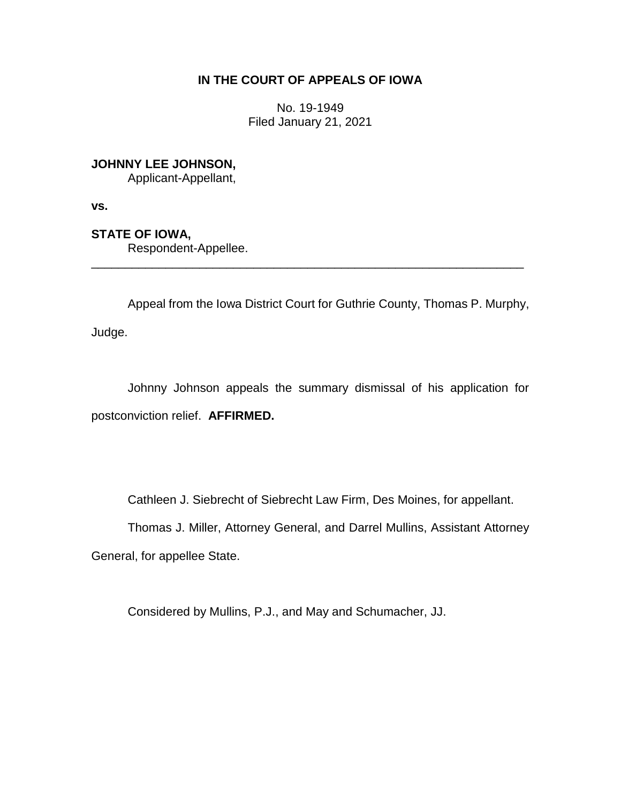# **IN THE COURT OF APPEALS OF IOWA**

No. 19-1949 Filed January 21, 2021

**JOHNNY LEE JOHNSON,** Applicant-Appellant,

**vs.**

**STATE OF IOWA,**

Respondent-Appellee.

Appeal from the Iowa District Court for Guthrie County, Thomas P. Murphy, Judge.

\_\_\_\_\_\_\_\_\_\_\_\_\_\_\_\_\_\_\_\_\_\_\_\_\_\_\_\_\_\_\_\_\_\_\_\_\_\_\_\_\_\_\_\_\_\_\_\_\_\_\_\_\_\_\_\_\_\_\_\_\_\_\_\_

Johnny Johnson appeals the summary dismissal of his application for postconviction relief. **AFFIRMED.**

Cathleen J. Siebrecht of Siebrecht Law Firm, Des Moines, for appellant.

Thomas J. Miller, Attorney General, and Darrel Mullins, Assistant Attorney General, for appellee State.

Considered by Mullins, P.J., and May and Schumacher, JJ.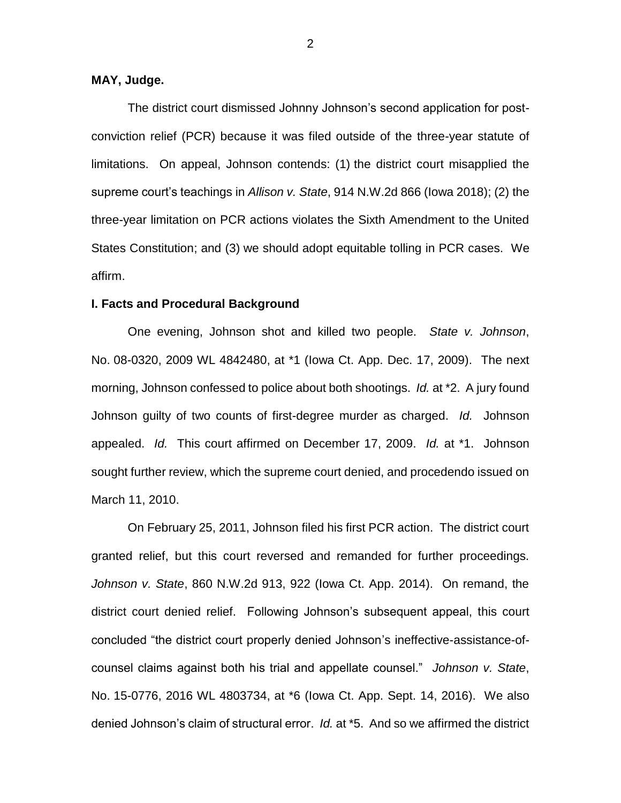# **MAY, Judge.**

The district court dismissed Johnny Johnson's second application for postconviction relief (PCR) because it was filed outside of the three-year statute of limitations. On appeal, Johnson contends: (1) the district court misapplied the supreme court's teachings in *Allison v. State*, 914 N.W.2d 866 (Iowa 2018); (2) the three-year limitation on PCR actions violates the Sixth Amendment to the United States Constitution; and (3) we should adopt equitable tolling in PCR cases. We affirm.

#### **I. Facts and Procedural Background**

One evening, Johnson shot and killed two people. *State v. Johnson*, No. 08-0320, 2009 WL 4842480, at \*1 (Iowa Ct. App. Dec. 17, 2009). The next morning, Johnson confessed to police about both shootings. *Id.* at \*2. A jury found Johnson guilty of two counts of first-degree murder as charged. *Id.* Johnson appealed. *Id.* This court affirmed on December 17, 2009. *Id.* at \*1. Johnson sought further review, which the supreme court denied, and procedendo issued on March 11, 2010.

On February 25, 2011, Johnson filed his first PCR action. The district court granted relief, but this court reversed and remanded for further proceedings. *Johnson v. State*, 860 N.W.2d 913, 922 (Iowa Ct. App. 2014). On remand, the district court denied relief. Following Johnson's subsequent appeal, this court concluded "the district court properly denied Johnson's ineffective-assistance-ofcounsel claims against both his trial and appellate counsel." *Johnson v. State*, No. 15-0776, 2016 WL 4803734, at \*6 (Iowa Ct. App. Sept. 14, 2016). We also denied Johnson's claim of structural error. *Id.* at \*5. And so we affirmed the district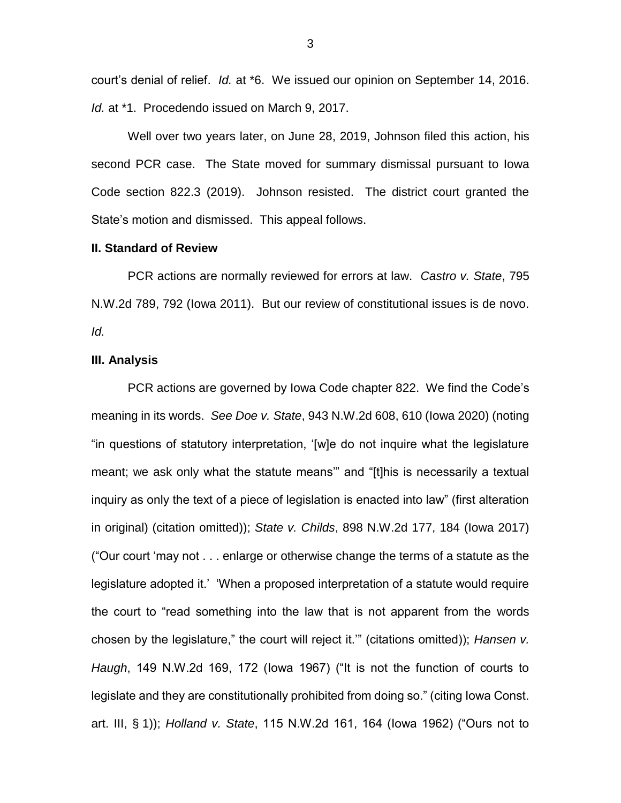court's denial of relief. *Id.* at \*6. We issued our opinion on September 14, 2016. *Id.* at \*1. Procedendo issued on March 9, 2017.

Well over two years later, on June 28, 2019, Johnson filed this action, his second PCR case. The State moved for summary dismissal pursuant to Iowa Code section 822.3 (2019). Johnson resisted. The district court granted the State's motion and dismissed. This appeal follows.

## **II. Standard of Review**

PCR actions are normally reviewed for errors at law. *Castro v. State*, 795 N.W.2d 789, 792 (Iowa 2011). But our review of constitutional issues is de novo. *Id.*

#### **III. Analysis**

PCR actions are governed by Iowa Code chapter 822. We find the Code's meaning in its words. *See Doe v. State*, 943 N.W.2d 608, 610 (Iowa 2020) (noting "in questions of statutory interpretation, '[w]e do not inquire what the legislature meant; we ask only what the statute means'" and "[t]his is necessarily a textual inquiry as only the text of a piece of legislation is enacted into law" (first alteration in original) (citation omitted)); *State v. Childs*, 898 N.W.2d 177, 184 (Iowa 2017) ("Our court 'may not . . . enlarge or otherwise change the terms of a statute as the legislature adopted it.' 'When a proposed interpretation of a statute would require the court to "read something into the law that is not apparent from the words chosen by the legislature," the court will reject it.'" (citations omitted)); *Hansen v. Haugh*, 149 N.W.2d 169, 172 (Iowa 1967) ("It is not the function of courts to legislate and they are constitutionally prohibited from doing so." (citing Iowa Const. art. III, § 1)); *Holland v. State*, 115 N.W.2d 161, 164 (Iowa 1962) ("Ours not to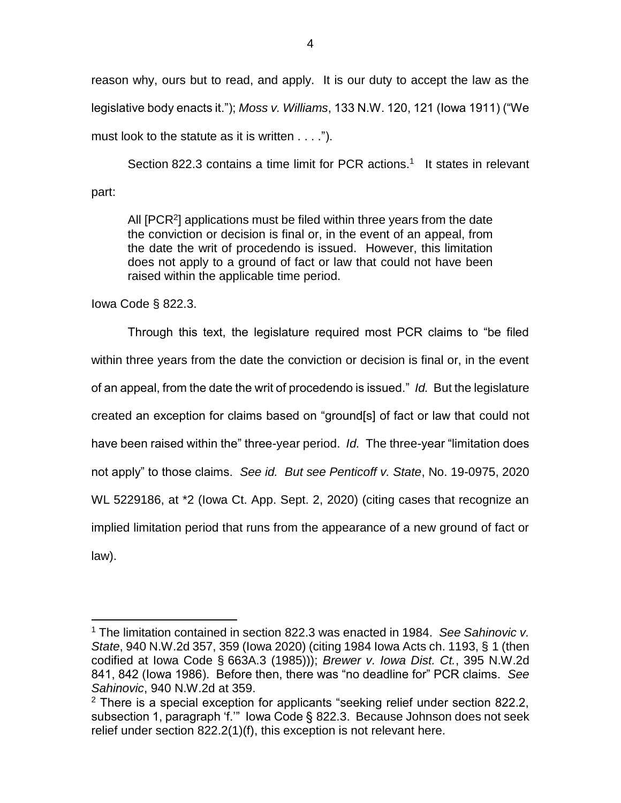reason why, ours but to read, and apply. It is our duty to accept the law as the legislative body enacts it."); *Moss v. Williams*, 133 N.W. 120, 121 (Iowa 1911) ("We must look to the statute as it is written . . . .").

Section 822.3 contains a time limit for PCR actions.<sup>1</sup> It states in relevant part:

All [PCR<sup>2</sup>] applications must be filed within three years from the date the conviction or decision is final or, in the event of an appeal, from the date the writ of procedendo is issued. However, this limitation does not apply to a ground of fact or law that could not have been raised within the applicable time period.

Iowa Code § 822.3.

 $\overline{a}$ 

Through this text, the legislature required most PCR claims to "be filed within three years from the date the conviction or decision is final or, in the event of an appeal, from the date the writ of procedendo is issued." *Id.* But the legislature created an exception for claims based on "ground[s] of fact or law that could not have been raised within the" three-year period. *Id.* The three-year "limitation does not apply" to those claims. *See id. But see Penticoff v. State*, No. 19-0975, 2020 WL 5229186, at \*2 (Iowa Ct. App. Sept. 2, 2020) (citing cases that recognize an implied limitation period that runs from the appearance of a new ground of fact or law).

<sup>1</sup> The limitation contained in section 822.3 was enacted in 1984. *See Sahinovic v. State*, 940 N.W.2d 357, 359 (Iowa 2020) (citing 1984 Iowa Acts ch. 1193, § 1 (then codified at Iowa Code § 663A.3 (1985))); *Brewer v. Iowa Dist. Ct.*, 395 N.W.2d 841, 842 (Iowa 1986). Before then, there was "no deadline for" PCR claims. *See Sahinovic*, 940 N.W.2d at 359.

 $2$  There is a special exception for applicants "seeking relief under section 822.2, subsection 1, paragraph 'f.'" Iowa Code § 822.3. Because Johnson does not seek relief under section 822.2(1)(f), this exception is not relevant here.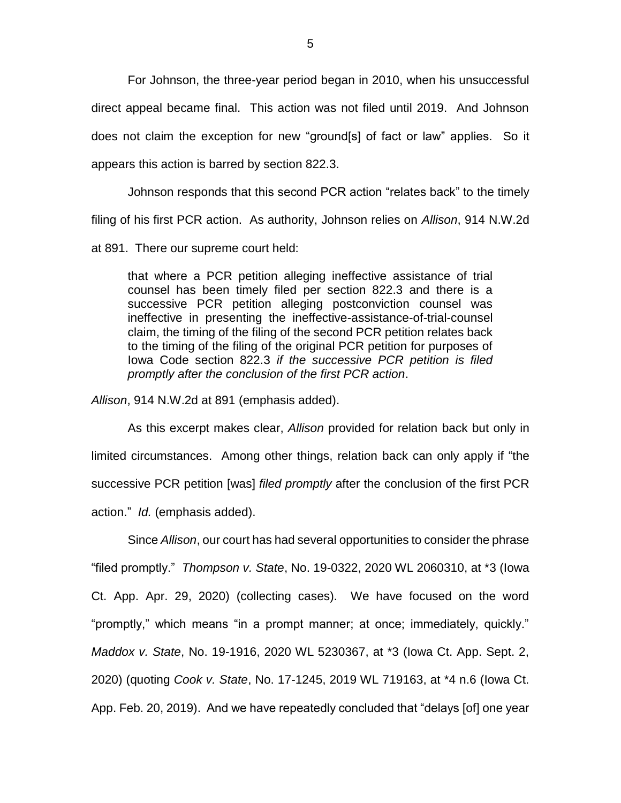For Johnson, the three-year period began in 2010, when his unsuccessful direct appeal became final. This action was not filed until 2019. And Johnson does not claim the exception for new "ground[s] of fact or law" applies. So it appears this action is barred by section 822.3.

Johnson responds that this second PCR action "relates back" to the timely filing of his first PCR action. As authority, Johnson relies on *Allison*, 914 N.W.2d

at 891. There our supreme court held:

that where a PCR petition alleging ineffective assistance of trial counsel has been timely filed per section 822.3 and there is a successive PCR petition alleging postconviction counsel was ineffective in presenting the ineffective-assistance-of-trial-counsel claim, the timing of the filing of the second PCR petition relates back to the timing of the filing of the original PCR petition for purposes of Iowa Code section 822.3 *if the successive PCR petition is filed promptly after the conclusion of the first PCR action*.

*Allison*, 914 N.W.2d at 891 (emphasis added).

As this excerpt makes clear, *Allison* provided for relation back but only in limited circumstances. Among other things, relation back can only apply if "the successive PCR petition [was] *filed promptly* after the conclusion of the first PCR action." *Id.* (emphasis added).

Since *Allison*, our court has had several opportunities to consider the phrase "filed promptly." *Thompson v. State*, No. 19-0322, 2020 WL 2060310, at \*3 (Iowa Ct. App. Apr. 29, 2020) (collecting cases). We have focused on the word "promptly," which means "in a prompt manner; at once; immediately, quickly." *Maddox v. State*, No. 19-1916, 2020 WL 5230367, at \*3 (Iowa Ct. App. Sept. 2, 2020) (quoting *Cook v. State*, No. 17-1245, 2019 WL 719163, at \*4 n.6 (Iowa Ct. App. Feb. 20, 2019). And we have repeatedly concluded that "delays [of] one year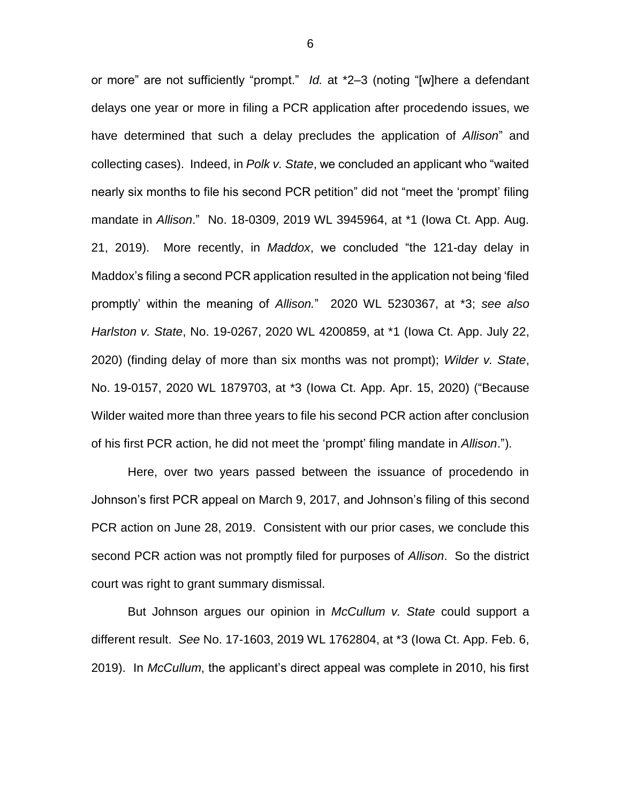or more" are not sufficiently "prompt." *Id.* at \*2–3 (noting "[w]here a defendant delays one year or more in filing a PCR application after procedendo issues, we have determined that such a delay precludes the application of *Allison*" and collecting cases). Indeed, in *Polk v. State*, we concluded an applicant who "waited nearly six months to file his second PCR petition" did not "meet the 'prompt' filing mandate in *Allison*." No. 18-0309, 2019 WL 3945964, at \*1 (Iowa Ct. App. Aug. 21, 2019). More recently, in *Maddox*, we concluded "the 121-day delay in Maddox's filing a second PCR application resulted in the application not being 'filed promptly' within the meaning of *Allison.*" 2020 WL 5230367, at \*3; *see also Harlston v. State*, No. 19-0267, 2020 WL 4200859, at \*1 (Iowa Ct. App. July 22, 2020) (finding delay of more than six months was not prompt); *Wilder v. State*, No. 19-0157, 2020 WL 1879703, at \*3 (Iowa Ct. App. Apr. 15, 2020) ("Because Wilder waited more than three years to file his second PCR action after conclusion of his first PCR action, he did not meet the 'prompt' filing mandate in *Allison*.").

Here, over two years passed between the issuance of procedendo in Johnson's first PCR appeal on March 9, 2017, and Johnson's filing of this second PCR action on June 28, 2019. Consistent with our prior cases, we conclude this second PCR action was not promptly filed for purposes of *Allison*. So the district court was right to grant summary dismissal.

But Johnson argues our opinion in *McCullum v. State* could support a different result. *See* No. 17-1603, 2019 WL 1762804, at \*3 (Iowa Ct. App. Feb. 6, 2019). In *McCullum*, the applicant's direct appeal was complete in 2010, his first

6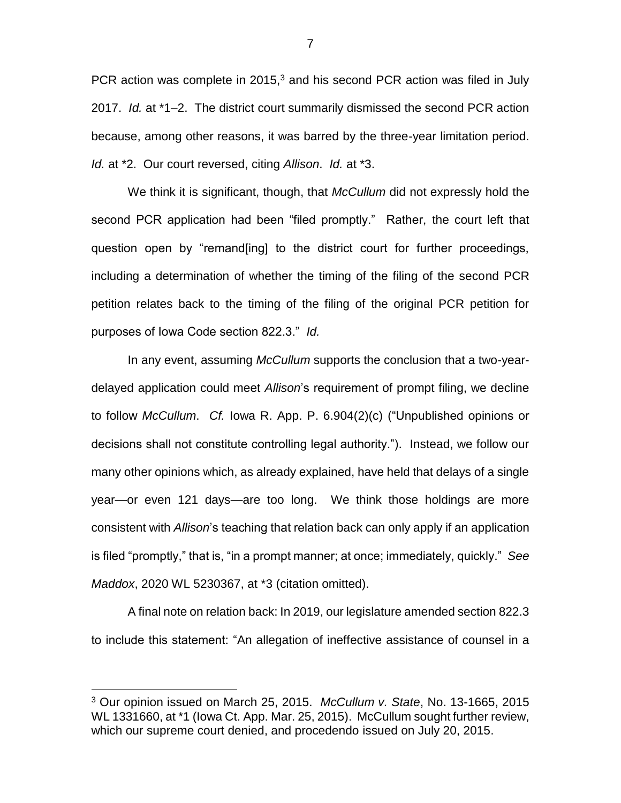PCR action was complete in 2015, $3$  and his second PCR action was filed in July 2017. *Id.* at \*1–2. The district court summarily dismissed the second PCR action because, among other reasons, it was barred by the three-year limitation period. *Id.* at \*2. Our court reversed, citing *Allison*. *Id.* at \*3.

We think it is significant, though, that *McCullum* did not expressly hold the second PCR application had been "filed promptly." Rather, the court left that question open by "remand[ing] to the district court for further proceedings, including a determination of whether the timing of the filing of the second PCR petition relates back to the timing of the filing of the original PCR petition for purposes of Iowa Code section 822.3." *Id.*

In any event, assuming *McCullum* supports the conclusion that a two-yeardelayed application could meet *Allison*'s requirement of prompt filing, we decline to follow *McCullum*. *Cf.* Iowa R. App. P. 6.904(2)(c) ("Unpublished opinions or decisions shall not constitute controlling legal authority."). Instead, we follow our many other opinions which, as already explained, have held that delays of a single year—or even 121 days—are too long. We think those holdings are more consistent with *Allison*'s teaching that relation back can only apply if an application is filed "promptly," that is, "in a prompt manner; at once; immediately, quickly." *See Maddox*, 2020 WL 5230367, at \*3 (citation omitted).

A final note on relation back: In 2019, our legislature amended section 822.3 to include this statement: "An allegation of ineffective assistance of counsel in a

 $\overline{a}$ 

<sup>3</sup> Our opinion issued on March 25, 2015. *McCullum v. State*, No. 13-1665, 2015 WL 1331660, at \*1 (Iowa Ct. App. Mar. 25, 2015). McCullum sought further review, which our supreme court denied, and procedendo issued on July 20, 2015.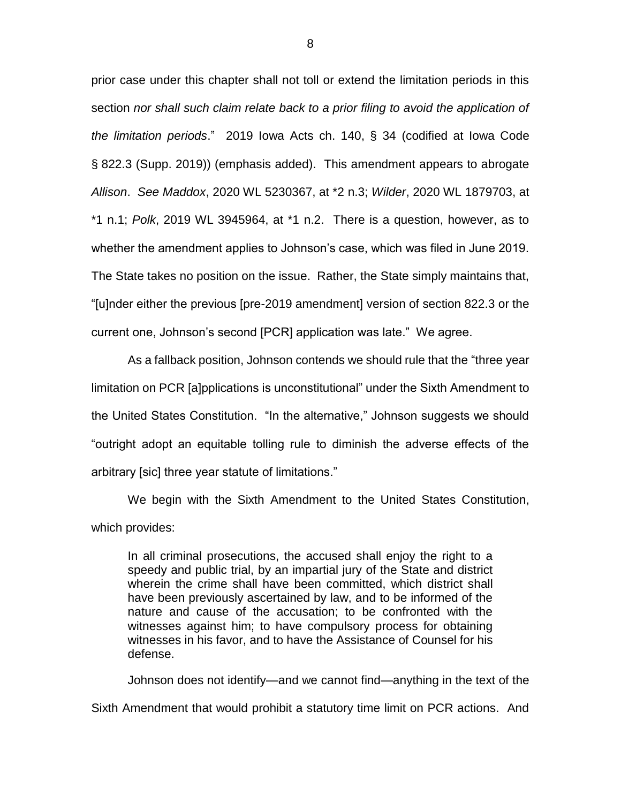prior case under this chapter shall not toll or extend the limitation periods in this section *nor shall such claim relate back to a prior filing to avoid the application of the limitation periods*." 2019 Iowa Acts ch. 140, § 34 (codified at Iowa Code § 822.3 (Supp. 2019)) (emphasis added). This amendment appears to abrogate *Allison*. *See Maddox*, 2020 WL 5230367, at \*2 n.3; *Wilder*, 2020 WL 1879703, at \*1 n.1; *Polk*, 2019 WL 3945964, at \*1 n.2. There is a question, however, as to whether the amendment applies to Johnson's case, which was filed in June 2019. The State takes no position on the issue. Rather, the State simply maintains that, "[u]nder either the previous [pre-2019 amendment] version of section 822.3 or the current one, Johnson's second [PCR] application was late." We agree.

As a fallback position, Johnson contends we should rule that the "three year limitation on PCR [a]pplications is unconstitutional" under the Sixth Amendment to the United States Constitution. "In the alternative," Johnson suggests we should "outright adopt an equitable tolling rule to diminish the adverse effects of the arbitrary [sic] three year statute of limitations."

We begin with the Sixth Amendment to the United States Constitution, which provides:

In all criminal prosecutions, the accused shall enjoy the right to a speedy and public trial, by an impartial jury of the State and district wherein the crime shall have been committed, which district shall have been previously ascertained by law, and to be informed of the nature and cause of the accusation; to be confronted with the witnesses against him; to have compulsory process for obtaining witnesses in his favor, and to have the Assistance of Counsel for his defense.

Johnson does not identify—and we cannot find—anything in the text of the

Sixth Amendment that would prohibit a statutory time limit on PCR actions. And